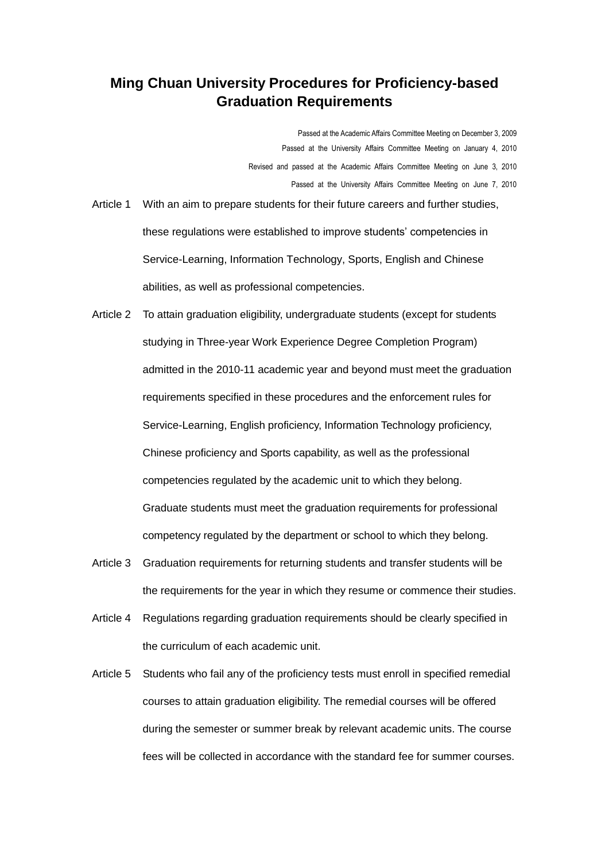## **Ming Chuan University Procedures for Proficiency-based Graduation Requirements**

Passed at the Academic Affairs Committee Meeting on December 3, 2009

- Passed at the University Affairs Committee Meeting on January 4, 2010
- Revised and passed at the Academic Affairs Committee Meeting on June 3, 2010 Passed at the University Affairs Committee Meeting on June 7, 2010
- Article 1 With an aim to prepare students for their future careers and further studies, these regulations were established to improve students' competencies in Service-Learning, Information Technology, Sports, English and Chinese abilities, as well as professional competencies.
- Article 2 To attain graduation eligibility, undergraduate students (except for students studying in Three-year Work Experience Degree Completion Program) admitted in the 2010-11 academic year and beyond must meet the graduation requirements specified in these procedures and the enforcement rules for Service-Learning, English proficiency, Information Technology proficiency, Chinese proficiency and Sports capability, as well as the professional competencies regulated by the academic unit to which they belong. Graduate students must meet the graduation requirements for professional competency regulated by the department or school to which they belong.
- Article 3 Graduation requirements for returning students and transfer students will be the requirements for the year in which they resume or commence their studies.
- Article 4 Regulations regarding graduation requirements should be clearly specified in the curriculum of each academic unit.
- Article 5 Students who fail any of the proficiency tests must enroll in specified remedial courses to attain graduation eligibility. The remedial courses will be offered during the semester or summer break by relevant academic units. The course fees will be collected in accordance with the standard fee for summer courses.